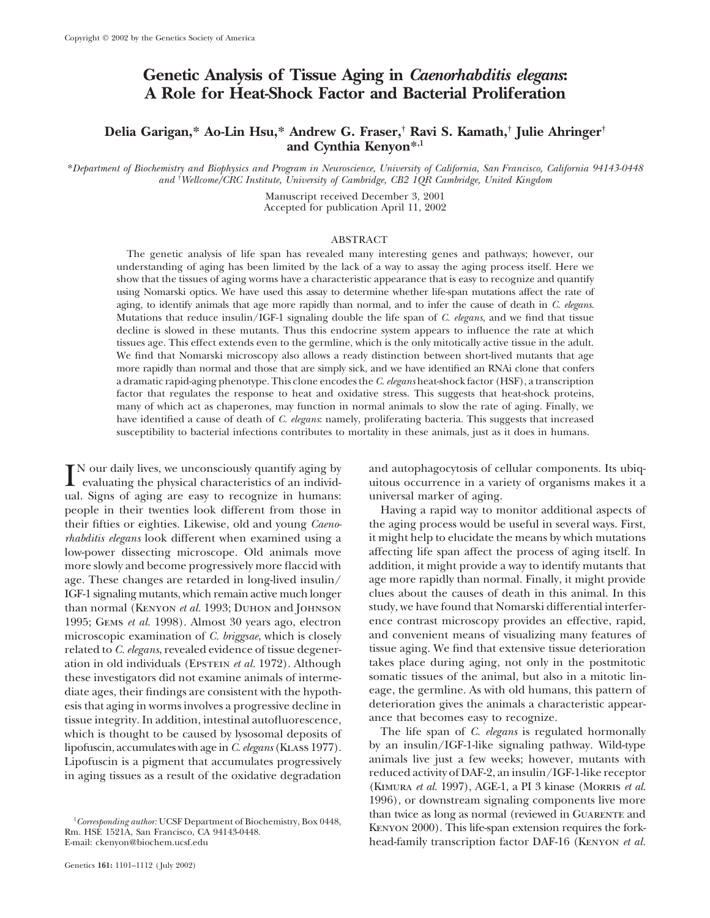# **Genetic Analysis of Tissue Aging in** *Caenorhabditis elegans***: A Role for Heat-Shock Factor and Bacterial Proliferation**

## **Delia Garigan,\* Ao-Lin Hsu,\* Andrew G. Fraser,† Ravi S. Kamath,† Julie Ahringer† and Cynthia Kenyon\*,1**

\**Department of Biochemistry and Biophysics and Program in Neuroscience, University of California, San Francisco, California 94143-0448 and* † *Wellcome/CRC Institute, University of Cambridge, CB2 1QR Cambridge, United Kingdom*

> Manuscript received December 3, 2001 Accepted for publication April 11, 2002

### ABSTRACT

The genetic analysis of life span has revealed many interesting genes and pathways; however, our understanding of aging has been limited by the lack of a way to assay the aging process itself. Here we show that the tissues of aging worms have a characteristic appearance that is easy to recognize and quantify using Nomarski optics. We have used this assay to determine whether life-span mutations affect the rate of aging, to identify animals that age more rapidly than normal, and to infer the cause of death in *C. elegans*. Mutations that reduce insulin/IGF-1 signaling double the life span of *C. elegans*, and we find that tissue decline is slowed in these mutants. Thus this endocrine system appears to influence the rate at which tissues age. This effect extends even to the germline, which is the only mitotically active tissue in the adult. We find that Nomarski microscopy also allows a ready distinction between short-lived mutants that age more rapidly than normal and those that are simply sick, and we have identified an RNAi clone that confers a dramatic rapid-aging phenotype. This clone encodes the *C. elegans* heat-shock factor (HSF), a transcription factor that regulates the response to heat and oxidative stress. This suggests that heat-shock proteins, many of which act as chaperones, may function in normal animals to slow the rate of aging. Finally, we have identified a cause of death of *C. elegans*: namely, proliferating bacteria. This suggests that increased susceptibility to bacterial infections contributes to mortality in these animals, just as it does in humans.

IN our daily lives, we unconsciously quantify aging by and autophagocytosis of cellular components. Its ubiq-<br>
evaluating the physical characteristics of an individ-<br>
universe in a variety of organisms makes it a<br>
universe ual. Signs of aging are easy to recognize in humans: universal marker of aging. people in their twenties look different from those in Having a rapid way to monitor additional aspects of their fifties or eighties. Likewise, old and young *Caeno-* the aging process would be useful in several ways. First, *rhabditis elegans* look different when examined using a it might help to elucidate the means by which mutations low-power dissecting microscope. Old animals move affecting life span affect the process of aging itself. In more slowly and become progressively more flaccid with addition, it might provide a way to identify mutants that age. These changes are retarded in long-lived insulin/ age more rapidly than normal. Finally, it might provide IGF-1 signaling mutants, which remain active much longer clues about the causes of death in this animal. In this than normal (KENYON *et al.* 1993; DUHON and JOHNSON study, we have found that Nomarski differential interfer-1995; Gems *et al.* 1998). Almost 30 years ago, electron ence contrast microscopy provides an effective, rapid, microscopic examination of *C. briggsae*, which is closely and convenient means of visualizing many features of related to *C. elegans*, revealed evidence of tissue degener-<br>tissue aging. We find that extensive tissue dete related to *C. elegans*, revealed evidence of tissue degeneration in old individuals (EPSTEIN *et al.* 1972). Although takes place during aging, not only in the postmitotic these investigators did not examine animals of interme-<br>diate ages, their findings are consistent with the hypoth-<br>eage, the germline. As with old humans, this pattern of diate ages, their findings are consistent with the hypothesis that aging in worms involves a progressive decline in deterioration gives the animals a characteristic appeartissue integrity. In addition, intestinal autofluorescence, ance that becomes easy to recognize.<br>which is thought to be caused by lysosomal deposits of The life span of C. elegans is regulated hormonally which is thought to be caused by lysosomal deposits of The life span of *C. elegans* is regulated hormonally<br>lipofuscin accumulates with age in *C. elegans* (KLASS 1977). by an insulin/IGF-1-like signaling pathway. Wild-ty lipofuscin, accumulates with age in*C. elegans* (Klass 1977). by an insulin/IGF-1-like signaling pathway. Wild-type Lipofuscin is a pigment that accumulates progressively<br>in aging tissues as a result of the oxidative degradation reduced activity of DAF-2, an insulin/IGF-1-like receptor

evaluating the physical characteristics of an individ- uitous occurrence in a variety of organisms makes it a

reduced activity of DAF-2, an insulin/IGF-1-like receptor in aging tissues as a result of the oxidative degradation (Kimura *et al.* 1997), AGE-1, a PI 3 kinase (Morris *et al.* 1996), or downstream signaling components live more <sup>1</sup>Corresponding author: UCSF Department of Biochemistry, Box 0448,<br><sup>1</sup>Corresponding author: UCSF Department of Biochemistry, Box 0448, *Corresponding author:* UCSF Department of Biochemistry, Box 0448, Kenyon 2000). This life-span extension requires the fork- Rm. HSE 1521A, San Francisco, CA 94143-0448. E-mail: ckenyon@biochem.ucsf.edu head-family transcription factor DAF-16 (Kenyon *et al.*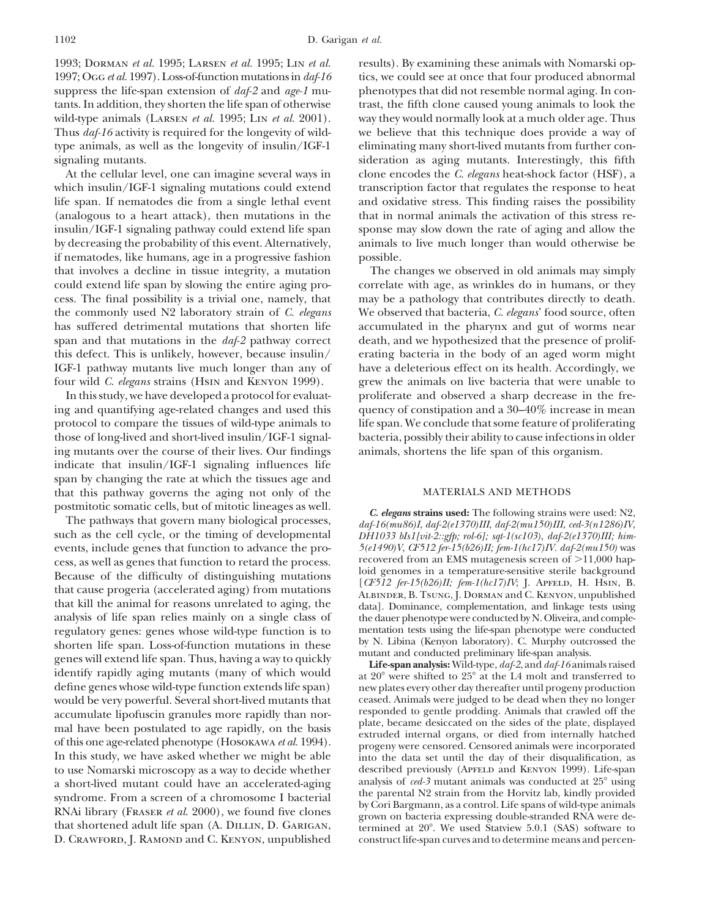1997; Ogg *et al.* 1997). Loss-of-function mutations in *daf-16* tics, we could see at once that four produced abnormal suppress the life-span extension of *daf-2* and *age-1* mu- phenotypes that did not resemble normal aging. In contants. In addition, they shorten the life span of otherwise trast, the fifth clone caused young animals to look the wild-type animals (Larsen *et al.* 1995; Lin *et al.* 2001). way they would normally look at a much older age. Thus Thus *daf-16* activity is required for the longevity of wild- we believe that this technique does provide a way of type animals, as well as the longevity of insulin/IGF-1 eliminating many short-lived mutants from further consignaling mutants. Sideration as aging mutants. Interestingly, this fifth

which insulin/IGF-1 signaling mutations could extend transcription factor that regulates the response to heat life span. If nematodes die from a single lethal event and oxidative stress. This finding raises the possibility (analogous to a heart attack), then mutations in the that in normal animals the activation of this stress reinsulin/IGF-1 signaling pathway could extend life span sponse may slow down the rate of aging and allow the by decreasing the probability of this event. Alternatively, animals to live much longer than would otherwise be if nematodes, like humans, age in a progressive fashion possible. that involves a decline in tissue integrity, a mutation The changes we observed in old animals may simply could extend life span by slowing the entire aging pro- correlate with age, as wrinkles do in humans, or they cess. The final possibility is a trivial one, namely, that may be a pathology that contributes directly to death. the commonly used N2 laboratory strain of *C. elegans* We observed that bacteria, *C. elegans*' food source, often has suffered detrimental mutations that shorten life accumulated in the pharynx and gut of worms near span and that mutations in the *daf-2* pathway correct death, and we hypothesized that the presence of prolifthis defect. This is unlikely, however, because insulin/ erating bacteria in the body of an aged worm might IGF-1 pathway mutants live much longer than any of have a deleterious effect on its health. Accordingly, we four wild *C. elegans* strains (Hsin and Kenyon 1999). grew the animals on live bacteria that were unable to

ing mutants over the course of their lives. Our findings animals, shortens the life span of this organism. indicate that insulin/IGF-1 signaling influences life span by changing the rate at which the tissues age and that this pathway governs the aging not only of the MATERIALS AND METHODS

events, include genes that function to advance the pro- *5(e1490)V*, *CF512 fer-15(b26)II; fem-1(hc17)IV. daf-2(mu150)* was cess, as well as genes that function to retard the process.<br>Because of the difficulty of distinguishing mutations<br>that cause progeria (accelerated aging) from mutations<br>that kill the animal for reasons unrelated to aging, analysis of life span relies mainly on a single class of the dauer phenotype were conducted by N. Oliveira, and compleregulatory genes: genes whose wild-type function is to mentation tests using the life-span phenotype were conducted<br>shorten life span I oss-of-function mutations in these by N. Libina (Kenyon laboratory). C. Murphy outcros shorten life span. Loss-of-function mutations in these the mutant and conducted preliminary life-span analysis.<br>genes will extend life span. Thus, having a way to quickly<br>**Life-span analysis:** Wild-type,  $\frac{da}{2}$ , and  $\frac$ identify rapidly aging mutants (many of which would define genes whose wild-type function extends life span) accumulate lipofuscin granules more rapidly than nor-<br>mal have been postulated to age rapidly, on the basis plate, became desiccated on the sides of the plate, displayed<br>of this one age-related phenotype (HOSOKAWA *et al.* a short-lived mutant could have an accelerated-aging syndrome. From a screen of a chromosome I bacterial the parental N2 strain from the Horvitz lab, kindly provided by Cori Bargmann, as a control. Life spans of wild-type D. CRAWFORD, J. RAMOND and C. KENYON, unpublished construct life-span curves and to determine means and percen-

1993; Dorman *et al.* 1995; Larsen *et al.* 1995; Lin *et al.* results). By examining these animals with Nomarski op-At the cellular level, one can imagine several ways in clone encodes the *C. elegans* heat-shock factor (HSF), a

In this study, we have developed a protocol for evaluat- proliferate and observed a sharp decrease in the freing and quantifying age-related changes and used this quency of constipation and a 30–40% increase in mean protocol to compare the tissues of wild-type animals to life span. We conclude that some feature of proliferating those of long-lived and short-lived insulin/IGF-1 signal- bacteria, possibly their ability to cause infections in older

postmitotic somatic cells, but of mitotic lineages as well.<br>
The pathways that govern many biological processes,<br>
such as the cell cycle, or the timing of developmental<br>
events, include genes that function to advance the p

 $\degree$  were shifted to  $25\degree$  at the L4 molt and transferred to new plates every other day thereafter until progeny production ceased. Animals were judged to be dead when they no longer would be very powerful. Several short-lived mutants that ceased. Animals were judged to be dead when they no longer<br>accumulate linofuscin granules more rapidly than nor-<br>responded to gentle prodding. Animals that crawled o to use Nomarski microscopy as a way to decide whether described previously (APFELD and KENYON 1999). Life-span analysis of  $ced-3$  mutant animals was conducted at  $25^{\circ}$  using termined at  $20^{\circ}$ . We used Statview 5.0.1 (SAS) software to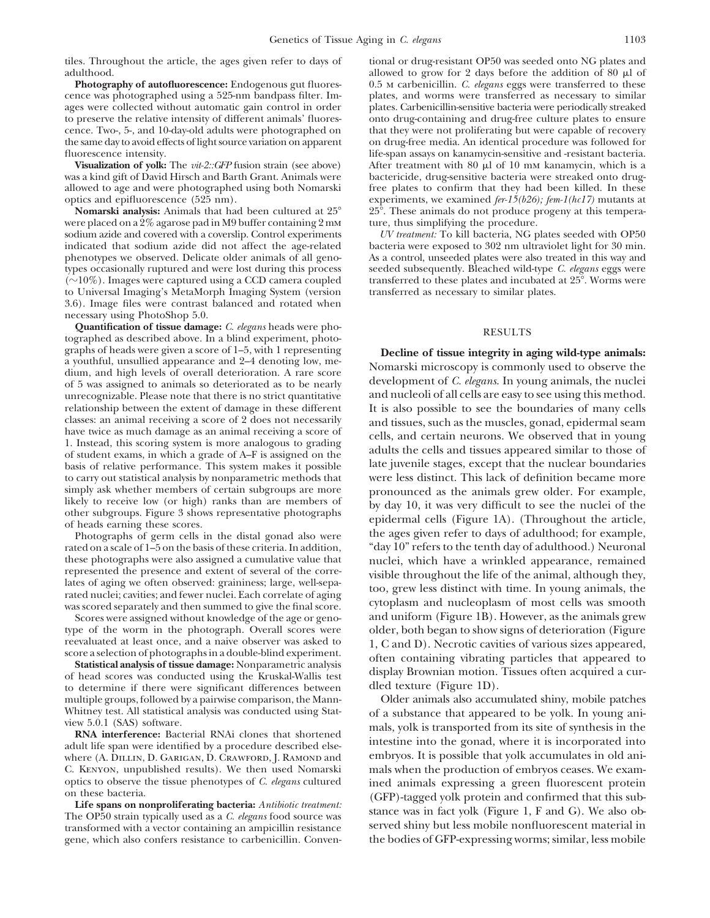the same day to avoid effects of light source variation on apparent fluorescence intensity.

allowed to age and were photographed using both Nomarski optics and epifluorescence (525 nm).

**Nomarski analysis:** Animals that had been cultured at 25were placed on a 2% agarose pad in M9 buffer containing 2 mm ture, thus simplifying the procedure. sodium azide and covered with a coverslip. Control experiments *UV treatment:* To kill bacteria, NG plates seeded with OP50 indicated that sodium azide did not affect the age-related bacteria were exposed to 302 nm ultraviolet light for 30 min.<br>phenotypes we observed. Delicate older animals of all geno-<br>As a control, unseeded plates were also t phenotypes we observed. Delicate older animals of all geno-<br>types occasionally ruptured and were lost during this process seeded subsequently. Bleached wild-type C. elegans eggs were types occasionally ruptured and were lost during this process  $(\sim]10\%)$ . Images were captured using a CCD camera coupled to Universal Imaging's MetaMorph Imaging System (version transferred as necessary to similar plates. 3.6). Image files were contrast balanced and rotated when

necessary using PhotoShop 5.0.<br>Quantification of tissue damage: C. elegans heads were pho-**Quantification of ussue damage:** *C. elegans* heads were pho-<br>tographed as described above. In a blind experiment, photo-<br>graphs of heads were given a score of 1–5, with 1 representing<br>**Decline of tissue integrity in a** graphs of heads were given a score of 1–5, with 1 representing<br>a youthful, unsullied appearance and 2–4 denoting low, me-<br>dium, and high levels of overall deterioration. A rare score<br>of 5 was assigned to animals so deterio unrecognizable. Please note that there is no strict quantitative relationship between the extent of damage in these different It is also possible to see the boundaries of many cells classes: an animal receiving a score of 2 does not necessarily and tissues such as the muscles gonad epid classes: an animal receiving a score of 2 does not necessarily<br>have twice as much damage as an animal receiving a score of<br>1. Instead, this scoring system is more analogous to grading<br>of student exams, in which a grade of basis of relative performance. This system makes it possible late juvenile stages, except that the nuclear boundaries<br>to carry out statistical analysis by nonparametric methods that were less distinct. This lack of definit to carry out statistical analysis by nonparametric methods that simply ask whether members of certain subgroups are more

Photographs of germ cells in the distal gonad also were

Scores were assigned without knowledge of the age or genotype of the worm in the photograph. Overall scores were older, both began to show signs of deterioration (Figure<br>reevaluated at least once, and a naive observer was asked to  $1 \text{ C and D}$ ). Necrotic cavities of various sizes

multiple groups, followed by a pairwise comparison, the Mann-<br>Whitney test. All statistical analysis was conducted using Stationary of a substance that appeared to be volk. In young ani-

where (A. DILLIN, D. GARIGAN, D. CRAWFORD, J. RAMOND and embryos. It is possible that yolk accumulates in old ani-C. Kenyon, unpublished results). We then used Nomarski mals when the production of embryos ceases. We exam-

transformed with a vector containing an ampicillin resistance served shiny but less mobile nonfluorescent material in gene, which also confers resistance to carbenicillin. Conven- the bodies of GFP-expressing worms; similar, less mobile

tiles. Throughout the article, the ages given refer to days of tional or drug-resistant OP50 was seeded onto NG plates and adulthood. allowed to grow for 2 days before the addition of 80  $\mu$ l of **Photography of autofluorescence:** Endogenous gut fluores- 0.5 m carbenicillin. *C. elegans* eggs were transferred to these cence was photographed using a 525-nm bandpass filter. Im- plates, and worms were transferred as necessary to similar ages were collected without automatic gain control in order plates. Carbenicillin-sensitive bacteria were periodically streaked to preserve the relative intensity of different animals' fluores-<br>
onto drug-containing and drug-free culture plates to ensure<br>
cence. Two-, 5-, and 10-day-old adults were photographed on that they were not proliferating b cence. Two-, 5-, and 10-day-old adults were photographed on that they were not proliferating but were capable of recovery<br>the same day to avoid effects of light source variation on apparent on drug-free media. An identical fluorescence intensity.<br> **Visualization of yolk:** The *vit-2::GFP* fusion strain (see above) After treatment with 80 µl of 10 mm kanamycin, which is a After treatment with 80 μl of 10 mm kanamycin, which is a was a kind gift of David Hirsch and Barth Grant. Animals were bactericide, drug-sensitive bacteria were streaked onto drug-<br>allowed to age and were photographed using both Nomarski free plates to confirm that they had been experiments, we examined *fer-15(b26); fem-1(hc17)* mutants at  $\degree$  25°. These animals do not produce progeny at this tempera-

transferred to these plates and incubated at 25°. Worms were

simply ask whether members of certain subgroups are more<br>likely to receive low (or high) ranks than are members of<br>other subgroups. Figure 3 shows representative photographs<br>of heads earning these scores.<br>Photographs of ge rated on a scale of 1–5 on the basis of these criteria. In addition, "day 10" refers to the tenth day of adulthood.) Neuronal these photographs were also assigned a cumulative value that<br>
represented the presence and extent of several of the corre-<br>
lates of aging we often observed: graininess; large, well-separated<br>
rated nuclei; cavities; and f reevaluated at least once, and a naive observer was asked to score a selection of photographs in a double-blind experiment.<br>
Statistical analysis of tissue damage: Nonparametric analysis of the containing vibrating particl

Whitney test. All statistical analysis was conducted using State of a substance that appeared to be yolk. In young ani-<br>view 5.0.1 (SAS) software.<br>**RNA interference:** Bacterial RNAi clones that shortened<br>adult life span we optics to observe the tissue phenotypes of *C. elegans* cultured ined animals expressing a green fluorescent protein<br>on these bacteria. (GFP)-tagged yolk protein and confirmed that this sub-<br>**Life spans on nonproliferating**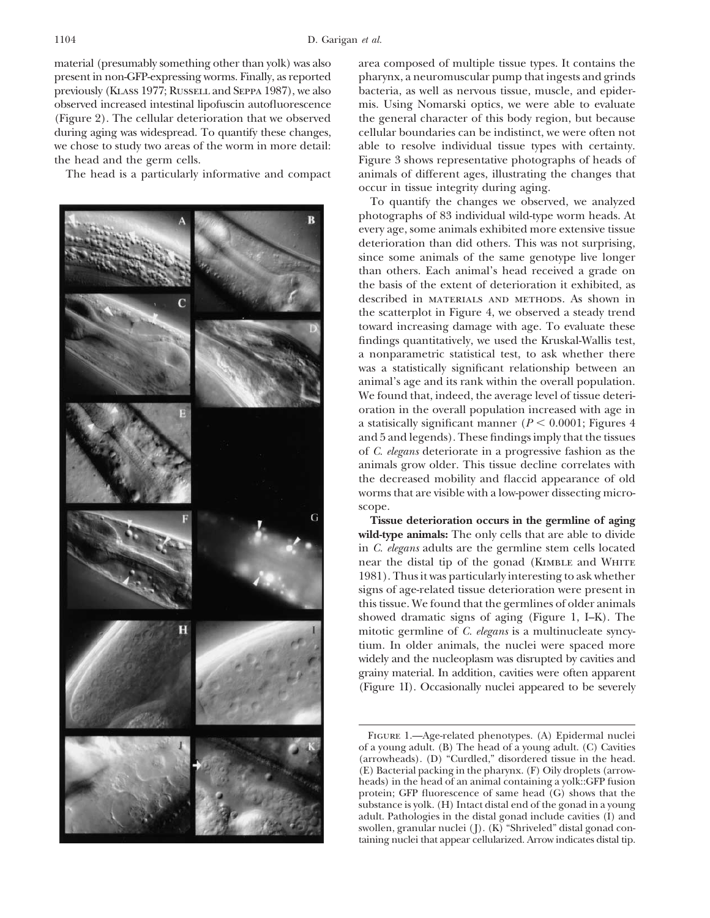material (presumably something other than yolk) was also area composed of multiple tissue types. It contains the observed increased intestinal lipofuscin autofluorescence mis. Using Nomarski optics, we were able to evaluate



present in non-GFP-expressing worms. Finally, as reported pharynx, a neuromuscular pump that ingests and grinds previously (Klass 1977; Russell and Seppa 1987), we also bacteria, as well as nervous tissue, muscle, and epider-(Figure 2). The cellular deterioration that we observed the general character of this body region, but because during aging was widespread. To quantify these changes, cellular boundaries can be indistinct, we were often not we chose to study two areas of the worm in more detail: able to resolve individual tissue types with certainty. the head and the germ cells. Figure 3 shows representative photographs of heads of The head is a particularly informative and compact animals of different ages, illustrating the changes that occur in tissue integrity during aging.

> To quantify the changes we observed, we analyzed photographs of 83 individual wild-type worm heads. At every age, some animals exhibited more extensive tissue deterioration than did others. This was not surprising, since some animals of the same genotype live longer than others. Each animal's head received a grade on the basis of the extent of deterioration it exhibited, as described in materials and methods. As shown in the scatterplot in Figure 4, we observed a steady trend toward increasing damage with age. To evaluate these findings quantitatively, we used the Kruskal-Wallis test, a nonparametric statistical test, to ask whether there was a statistically significant relationship between an animal's age and its rank within the overall population. We found that, indeed, the average level of tissue deterioration in the overall population increased with age in a statisically significant manner ( $P \leq 0.0001$ ; Figures 4 and 5 and legends). These findings imply that the tissues of *C. elegans* deteriorate in a progressive fashion as the animals grow older. This tissue decline correlates with the decreased mobility and flaccid appearance of old worms that are visible with a low-power dissecting microscope.

> **Tissue deterioration occurs in the germline of aging** wild-type animals: The only cells that are able to divide in *C. elegans* adults are the germline stem cells located near the distal tip of the gonad (KIMBLE and WHITE 1981). Thus it was particularly interesting to ask whether signs of age-related tissue deterioration were present in this tissue. We found that the germlines of older animals showed dramatic signs of aging (Figure 1, I–K). The mitotic germline of *C. elegans* is a multinucleate syncytium. In older animals, the nuclei were spaced more widely and the nucleoplasm was disrupted by cavities and grainy material. In addition, cavities were often apparent (Figure 1I). Occasionally nuclei appeared to be severely

Figure 1.—Age-related phenotypes. (A) Epidermal nuclei of a young adult. (B) The head of a young adult. (C) Cavities (arrowheads). (D) "Curdled," disordered tissue in the head. (E) Bacterial packing in the pharynx. (F) Oily droplets (arrowheads) in the head of an animal containing a yolk::GFP fusion protein; GFP fluorescence of same head (G) shows that the substance is yolk. (H) Intact distal end of the gonad in a young adult. Pathologies in the distal gonad include cavities (I) and swollen, granular nuclei (J). (K) "Shriveled" distal gonad containing nuclei that appear cellularized. Arrow indicates distal tip.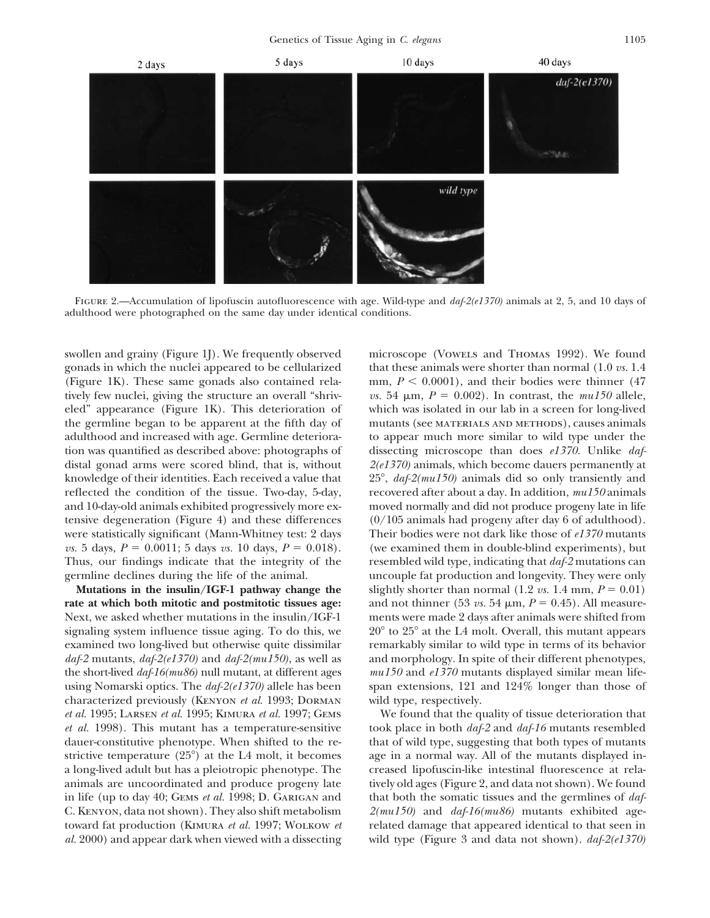Genetics of Tissue Aging in *C. elegans* 1105



FIGURE 2.—Accumulation of lipofuscin autofluorescence with age. Wild-type and *daf-2(e1370)* animals at 2, 5, and 10 days of adulthood were photographed on the same day under identical conditions.

swollen and grainy (Figure 1J). We frequently observed microscope (VOWELS and THOMAS 1992). We found gonads in which the nuclei appeared to be cellularized that these animals were shorter than normal (1.0 *vs.* 1.4 tively few nuclei, giving the structure an overall "shriv- *vs.* 54  $\mu$ m,  $P = 0.002$ ). In contrast, the *mu150* allele, eled" appearance (Figure 1K). This deterioration of which was isolated in our lab in a screen for long-lived adulthood and increased with age. Germline deteriora- to appear much more similar to wild type under the knowledge of their identities. Each received a value that reflected the condition of the tissue. Two-day, 5-day, recovered after about a day. In addition, *mu150* animals and 10-day-old animals exhibited progressively more ex- moved normally and did not produce progeny late in life tensive degeneration (Figure 4) and these differences (0/105 animals had progeny after day 6 of adulthood). were statistically significant (Mann-Whitney test: 2 days Their bodies were not dark like those of *e1370* mutants Thus, our findings indicate that the integrity of the resembled wild type, indicating that *daf-2* mutations can

**rate at which both mitotic and postmitotic tissues age:** and not thinner (53 *vs.* 54  $\mu$ m, *P* = 0.45). All measure-Next, we asked whether mutations in the insulin/IGF-1 ments were made 2 days after animals were shifted from signaling system influence tissue aging. To do this, we examined two long-lived but otherwise quite dissimilar remarkably similar to wild type in terms of its behavior *daf-2* mutants, *daf-2(e1370)* and *daf-2(mu150)*, as well as and morphology. In spite of their different phenotypes, the short-lived *daf-16(mu86)* null mutant, at different ages *mu150* and *e1370* mutants displayed similar mean lifeusing Nomarski optics. The *daf-2(e1370)* allele has been span extensions, 121 and 124% longer than those of characterized previously (Kenyon *et al.* 1993; Dorman wild type, respectively. *et al.* 1995; Larsen *et al.* 1995; Kimura *et al.* 1997; Gems We found that the quality of tissue deterioration that *et al.* 1998). This mutant has a temperature-sensitive took place in both *daf-2* and *daf-16* mutants resembled dauer-constitutive phenotype. When shifted to the re- that of wild type, suggesting that both types of mutants strictive temperature  $(25^{\circ})$  at the L4 molt, it becomes a long-lived adult but has a pleiotropic phenotype. The creased lipofuscin-like intestinal fluorescence at relaanimals are uncoordinated and produce progeny late tively old ages (Figure 2, and data not shown). We found in life (up to day 40; Gems *et al.* 1998; D. Garigan and that both the somatic tissues and the germlines of *daf-*C. Kenyon, data not shown). They also shift metabolism *2(mu150)* and *daf-16(mu86)* mutants exhibited agetoward fat production (Kimura *et al.* 1997; Wolkow *et* related damage that appeared identical to that seen in *al.* 2000) and appear dark when viewed with a dissecting wild type (Figure 3 and data not shown). *daf-2(e1370)*

(Figure 1K). These same gonads also contained rela- mm,  $P \leq 0.0001$ ), and their bodies were thinner (47) the germline began to be apparent at the fifth day of mutants (see materials and methods), causes animals tion was quantified as described above: photographs of dissecting microscope than does *e1370.* Unlike *daf*distal gonad arms were scored blind, that is, without *2(e1370)* animals, which become dauers permanently at , *daf-2(mu150)* animals did so only transiently and *vs.* 5 days,  $P = 0.0011$ ; 5 days *vs.* 10 days,  $P = 0.018$ . (we examined them in double-blind experiments), but germline declines during the life of the animal. uncouple fat production and longevity. They were only **Mutations in the insulin/IGF-1 pathway change the** slightly shorter than normal  $(1.2 \text{ vs. } 1.4 \text{ mm}, P = 0.01)$  $\degree$  to  $25\degree$  at the L4 molt. Overall, this mutant appears

age in a normal way. All of the mutants displayed in-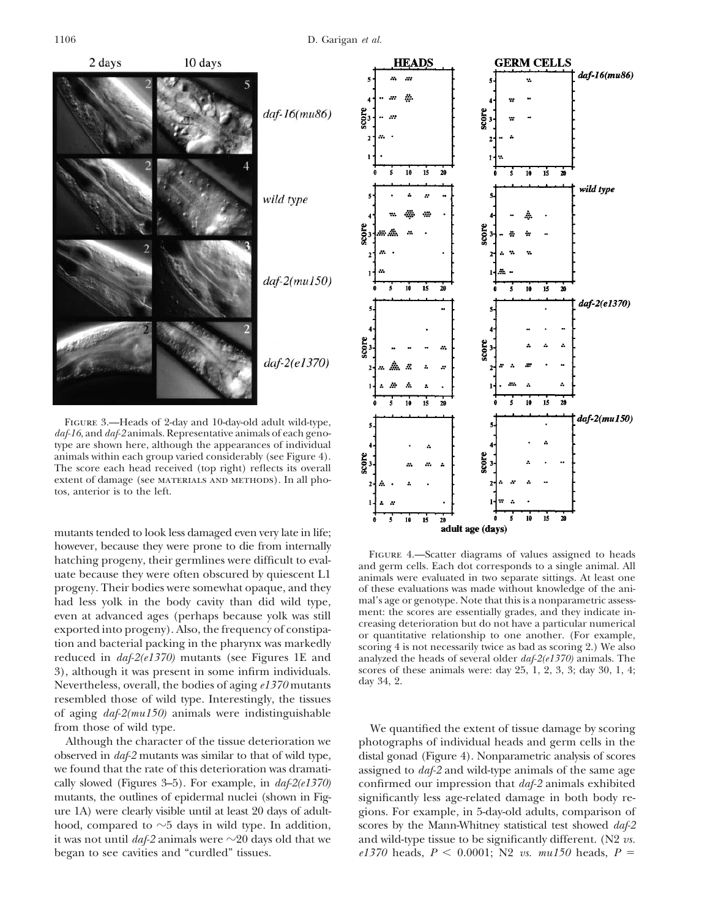

Figure 3.—Heads of 2-day and 10-day-old adult wild-type, *daf-16*, and *daf-2* animals. Representative animals of each genotype are shown here, although the appearances of individual animals within each group varied considerably (see Figure 4). The score each head received (top right) reflects its overall extent of damage (see MATERIALS AND METHODS). In all photos, anterior is to the left.

mutants tended to look less damaged even very late in life; however, because they were prone to die from internally<br>hatching progeny, their germlines were difficult to eval-<br>uate because they were often obscured by quiescent L1<br>animals were evaluated in two separate sittings. At le progeny. Their bodies were somewhat opaque, and they of these evaluations was made without knowledge of the ani-<br>had less volk in the body cavity than did wild type. mal's age or genotype. Note that this is a nonparametric had less yolk in the body cavity than did wild type, mal's age or genotype. Note that this is a nonparametric assess-<br>even at advanced ages (perhans because yolk was still ment: the scores are essentially grades, and they even at advanced ages (perhaps because yolk was still<br>exported into progeny). Also, the frequency of constipa-<br>tion and bacterial packing in the pharynx was markedly<br>tion and bacterial packing in the pharynx was markedly<br>s reduced in *daf-2(e1370)* mutants (see Figures 1E and analyzed the heads of several older *daf-2(e1370)* animals. The 3), although it was present in some infirm individuals. scores of these animals were: day 25, 1, 2, 3, 3 3), although it was present in some infirm individuals. scores of Neuertheless animals were: day 34, 2. Nevertheless, overall, the bodies of aging  $e1370$  mutants resembled those of wild type. Interestingly, the tissues of aging *daf-2(mu150)* animals were indistinguishable

began to see cavities and "curdled" tissues. *e1370* heads,  $P \le 0.0001$ ; N2 *vs. mu150* heads,  $P =$ 



from those of wild type.<br>
We quantified the extent of tissue damage by scoring<br>
Although the character of the tissue deterioration we botographs of individual heads and germ cells in the photographs of individual heads and germ cells in the observed in *daf-2* mutants was similar to that of wild type, distal gonad (Figure 4). Nonparametric analysis of scores we found that the rate of this deterioration was dramati- assigned to *daf-2* and wild-type animals of the same age cally slowed (Figures 3–5). For example, in *daf-2(e1370)* confirmed our impression that *daf-2* animals exhibited mutants, the outlines of epidermal nuclei (shown in Fig- significantly less age-related damage in both body reure 1A) were clearly visible until at least 20 days of adult- gions. For example, in 5-day-old adults, comparison of hood, compared to  $\sim$ 5 days in wild type. In addition, scores by the Mann-Whitney statistical test showed  $daf$ -2 it was not until  $daf-2$  animals were  $\sim$  20 days old that we and wild-type tissue to be significantly different. (N2 *vs.*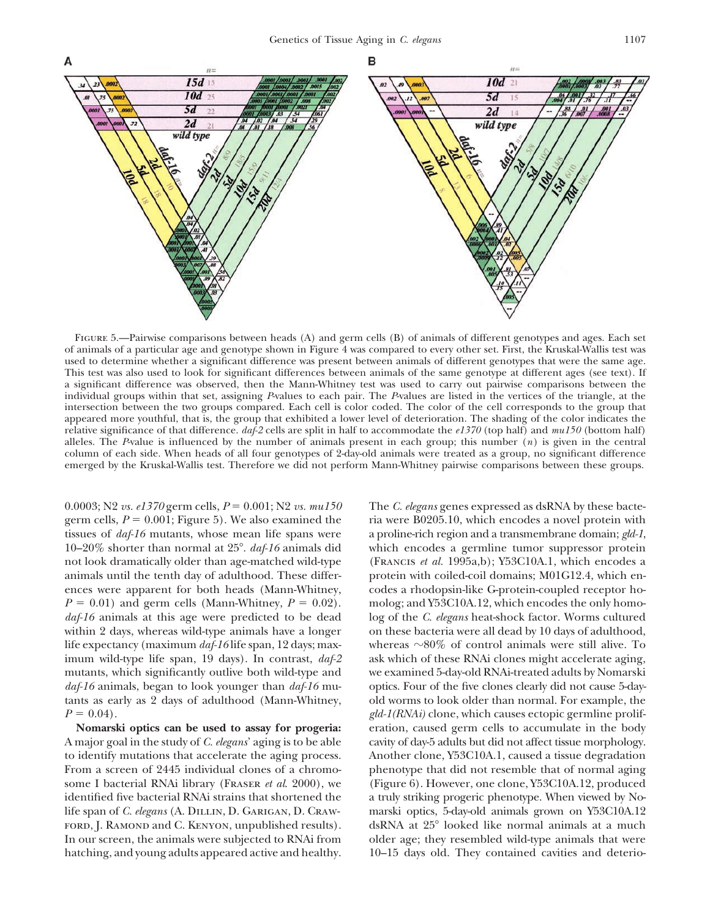

FIGURE 5.—Pairwise comparisons between heads (A) and germ cells (B) of animals of different genotypes and ages. Each set of animals of a particular age and genotype shown in Figure 4 was compared to every other set. First, the Kruskal-Wallis test was used to determine whether a significant difference was present between animals of different genotypes that were the same age. This test was also used to look for significant differences between animals of the same genotype at different ages (see text). If a significant difference was observed, then the Mann-Whitney test was used to carry out pairwise comparisons between the individual groups within that set, assigning *P*-values to each pair. The *P*-values are listed in the vertices of the triangle, at the intersection between the two groups compared. Each cell is color coded. The color of the cell corresponds to the group that appeared more youthful, that is, the group that exhibited a lower level of deterioration. The shading of the color indicates the relative significance of that difference. *daf-2* cells are split in half to accommodate the *e1370* (top half) and *mu150* (bottom half) alleles. The *P*-value is influenced by the number of animals present in each group; this number (*n*) is given in the central column of each side. When heads of all four genotypes of 2-day-old animals were treated as a group, no significant difference emerged by the Kruskal-Wallis test. Therefore we did not perform Mann-Whitney pairwise comparisons between these groups.

germ cells,  $P = 0.001$ ; Figure 5). We also examined the ria were B0205.10, which encodes a novel protein with tissues of *daf-16* mutants, whose mean life spans were a proline-rich region and a transmembrane domain; *gld-1*, 10–20% shorter than normal at 25 $^{\circ}$ . *daf-16* animals did not look dramatically older than age-matched wild-type (Francis *et al.* 1995a,b); Y53C10A.1, which encodes a animals until the tenth day of adulthood. These differ- protein with coiled-coil domains; M01G12.4, which enences were apparent for both heads (Mann-Whitney, codes a rhodopsin-like G-protein-coupled receptor ho- $P = 0.01$ ) and germ cells (Mann-Whitney,  $P = 0.02$ ). molog; and Y53C10A.12, which encodes the only homo*daf-16* animals at this age were predicted to be dead log of the *C. elegans* heat-shock factor. Worms cultured within 2 days, whereas wild-type animals have a longer on these bacteria were all dead by 10 days of adulthood, life expectancy (maximum  $daf-16$  life span, 12 days; max-<br>whereas  $\sim 80\%$  of control animals were still alive. To imum wild-type life span, 19 days). In contrast, *daf-2* ask which of these RNAi clones might accelerate aging, mutants, which significantly outlive both wild-type and we examined 5-day-old RNAi-treated adults by Nomarski *daf-16* animals, began to look younger than *daf-16* mu- optics. Four of the five clones clearly did not cause 5-daytants as early as 2 days of adulthood (Mann-Whitney, old worms to look older than normal. For example, the  $P = 0.04$ .

A major goal in the study of *C. elegans*' aging is to be able cavity of day-5 adults but did not affect tissue morphology. to identify mutations that accelerate the aging process. Another clone, Y53C10A.1, caused a tissue degradation From a screen of 2445 individual clones of a chromo- phenotype that did not resemble that of normal aging some I bacterial RNAi library (Fraser *et al*. 2000), we (Figure 6). However, one clone, Y53C10A.12, produced identified five bacterial RNAi strains that shortened the a truly striking progeric phenotype. When viewed by Nolife span of *C. elegans* (A. Dillin, D. Garigan, D. Craw- marski optics, 5-day-old animals grown on Y53C10A.12 FORD, J. RAMOND and C. KENYON, unpublished results). In our screen, the animals were subjected to RNAi from older age; they resembled wild-type animals that were hatching, and young adults appeared active and healthy.  $10-15$  days old. They contained cavities and deterio-

0.0003; N2 *vs. e1370* germ cells,  $P = 0.001$ ; N2 *vs. mu150* The *C. elegans* genes expressed as dsRNA by these bactewhich encodes a germline tumor suppressor protein **Nomarski optics can be used to assay for progeria:** eration, caused germ cells to accumulate in the body dsRNA at 25° looked like normal animals at a much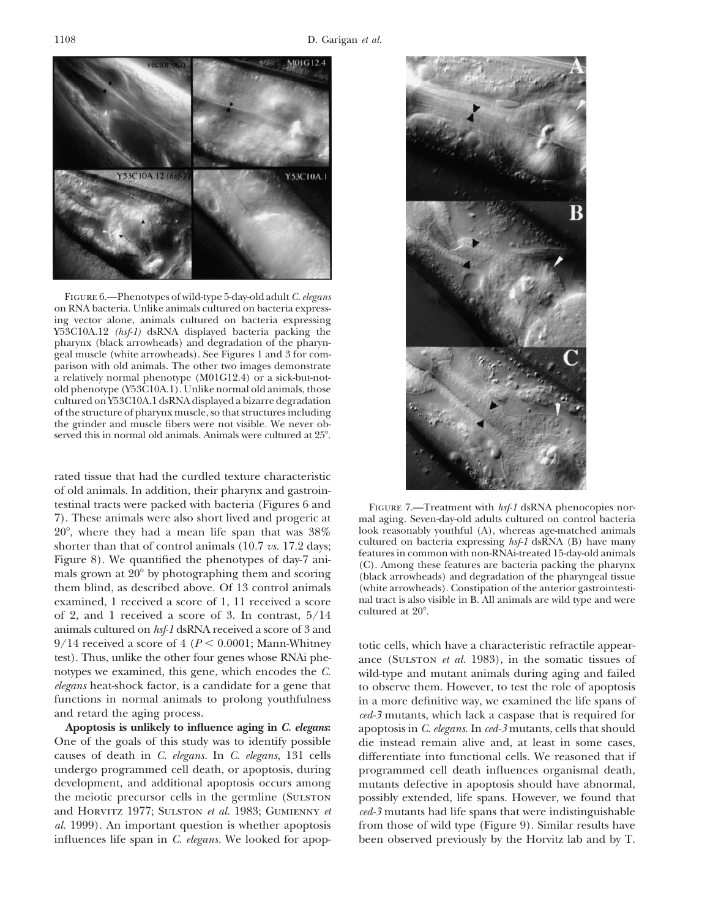

Figure 6.—Phenotypes of wild-type 5-day-old adult *C. elegans* on RNA bacteria. Unlike animals cultured on bacteria expressing vector alone, animals cultured on bacteria expressing Y53C10A.12 *(hsf-1)* dsRNA displayed bacteria packing the pharynx (black arrowheads) and degradation of the pharyngeal muscle (white arrowheads). See Figures 1 and 3 for comparison with old animals. The other two images demonstrate a relatively normal phenotype (M01G12.4) or a sick-but-notold phenotype (Y53C10A.1). Unlike normal old animals, those cultured on Y53C10A.1 dsRNA displayed a bizarre degradation of the structure of pharynx muscle, so that structures including the grinder and muscle fibers were not visible. We never observed this in normal old animals. Animals were cultured at 25-.

rated tissue that had the curdled texture characteristic of old animals. In addition, their pharynx and gastrointestinal tracts were packed with bacteria (Figures 6 and FIGURE 7.—Treatment with *hsf-1* dsRNA phenocopies nor-7). These animals were also short lived and progeric at mal aging. Seven-day-old adults cultured on control bacteria 20°, where they had a mean life span that was  $38\%$  look reasonably youthful (A), whereas age-matched animals shorter than that of control animals (10.7  $\pi$ s 17.9 days: cultured on bacteria expressing *hsf-1* dsRNA (B) shorter than that of control animals (10.7 *vs.* 17.2 days;<br>Figure 8). We quantified the phenotypes of day-7 ani-<br>mals grown at 20<sup>°</sup> by photographing them and scoring (black arrowheads) and degradation of the pharyneal t them blind, as described above. Of 13 control animals (white arrowheads). Constipation of the anterior gastrointesti-<br>examined. 1 received a score of 1.11 received a score and tract is also visible in B. All animals are wi examined, 1 received a score of 1, 11 received a score . of 2, and 1 received a score of 3. In contrast, 5/14 animals cultured on *hsf-1* dsRNA received a score of 3 and 9/14 received a score of 4 ( $P < 0.0001$ ; Mann-Whitney totic cells, which have a characteristic refractile appeartest). Thus, unlike the other four genes whose RNAi phe-<br>ance (SULSTON *et al.* 1983), in the somatic tissues test). Thus, unlike the other four genes whose RNAi phe-<br>note (Sulter on *et al.* 1983), in the somatic tissues of<br>notypes we examined, this gene, which encodes the C.<br>wild-type and mutant animals during aging and failed notypes we examined, this gene, which encodes the *C*. wild-type and mutant animals during aging and failed *elegans* heat-shock factor, is a candidate for a gene that to observe them. However, to test the role of apoptosi *elegans* heat-shock factor, is a candidate for a gene that to observe them. However, to test the role of apoptosis functions in normal animals to prolong youthfulness in a more definitive way, we examined the life spans o and retard the aging process. *ced-3* mutants, which lack a caspase that is required for

One of the goals of this study was to identify possible die instead remain alive and, at least in some cases, causes of death in *C. elegans.* In *C. elegans*, 131 cells differentiate into functional cells. We reasoned that if undergo programmed cell death, or apoptosis, during programmed cell death influences organismal death, development, and additional apoptosis occurs among mutants defective in apoptosis should have abnormal, the meiotic precursor cells in the germline (Sulston possibly extended, life spans. However, we found that and Horvitz 1977; Sulston *et al.* 1983; Gumienny *et ced-3* mutants had life spans that were indistinguishable *al.* 1999). An important question is whether apoptosis from those of wild type (Figure 9). Similar results have influences life span in *C. elegans.* We looked for apop- been observed previously by the Horvitz lab and by T.



(black arrowheads) and degradation of the pharyngeal tissue<br>(white arrowheads). Constipation of the anterior gastrointesticultured at 20°.

in a more definitive way, we examined the life spans of **Apoptosis is unlikely to influence aging in** *C. elegans***:** apoptosis in *C. elegans*. In *ced-3* mutants, cells that should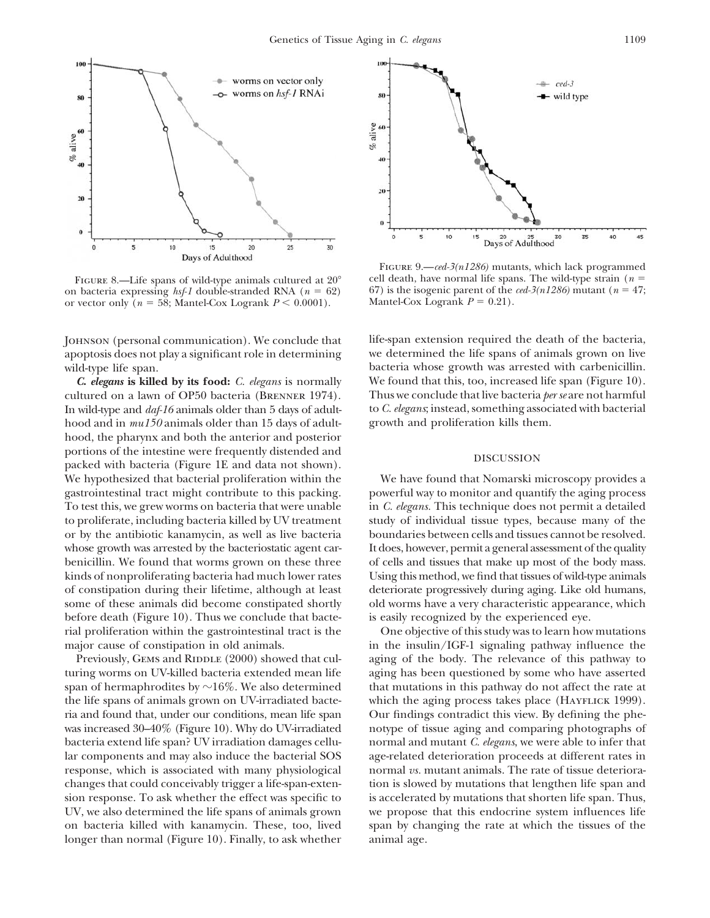

FIGURE 8.—Life spans of wild-type animals cultured at  $20^{\circ}$ on bacteria expressing *hsf-1* double-stranded RNA ( $n = 62$ ) 67) is the isogenic parent of the *ced-3(n1286)* mutant ( $n = 47$ ; or vector only ( $n = 58$ : Mantel-Cox Logrank  $P < 0.0001$ ). Mantel-Cox Logrank  $P = 0.21$ ). or vector only  $(n = 58; \text{ Mantel-Cox Logrank } P \leq 0.0001).$ 

apoptosis does not play a significant role in determining we determined the life spans of animals grown on live wild-type life span. **bacteria** whose growth was arrested with carbenicillin.

cultured on a lawn of OP50 bacteria (Brenner 1974). Thus we conclude that live bacteria *per se* are not harmful In wild-type and *daf-16* animals older than 5 days of adult- to *C. elegans*; instead, something associated with bacterial hood and in *mu150* animals older than 15 days of adult- growth and proliferation kills them. hood, the pharynx and both the anterior and posterior portions of the intestine were frequently distended and  $\qquad \qquad$  DISCUSSION packed with bacteria (Figure 1E and data not shown). We hypothesized that bacterial proliferation within the We have found that Nomarski microscopy provides a gastrointestinal tract might contribute to this packing. powerful way to monitor and quantify the aging process To test this, we grew worms on bacteria that were unable in *C. elegans.* This technique does not permit a detailed to proliferate, including bacteria killed by UV treatment study of individual tissue types, because many of the or by the antibiotic kanamycin, as well as live bacteria boundaries between cells and tissues cannot be resolved. whose growth was arrested by the bacteriostatic agent car-<br>It does, however, permit a general assessment of the quality benicillin. We found that worms grown on these three of cells and tissues that make up most of the body mass. kinds of nonproliferating bacteria had much lower rates Using this method, we find that tissues of wild-type animals of constipation during their lifetime, although at least deteriorate progressively during aging. Like old humans, some of these animals did become constipated shortly old worms have a very characteristic appearance, which before death (Figure 10). Thus we conclude that bacte- is easily recognized by the experienced eye. rial proliferation within the gastrointestinal tract is the One objective of this study was to learn how mutations major cause of constipation in old animals. in the insulin/IGF-1 signaling pathway influence the

turing worms on UV-killed bacteria extended mean life aging has been questioned by some who have asserted span of hermaphrodites by  $\sim$ 16%. We also determined that mutations in this pathway do not affect the rate at the life spans of animals grown on UV-irradiated bacte- which the aging process takes place (HAYFLICK 1999). ria and found that, under our conditions, mean life span Our findings contradict this view. By defining the phewas increased 30–40% (Figure 10). Why do UV-irradiated notype of tissue aging and comparing photographs of bacteria extend life span? UV irradiation damages cellu- normal and mutant *C. elegans*, we were able to infer that lar components and may also induce the bacterial SOS age-related deterioration proceeds at different rates in response, which is associated with many physiological normal *vs.* mutant animals. The rate of tissue deteriorachanges that could conceivably trigger a life-span-exten- tion is slowed by mutations that lengthen life span and sion response. To ask whether the effect was specific to is accelerated by mutations that shorten life span. Thus, UV, we also determined the life spans of animals grown we propose that this endocrine system influences life on bacteria killed with kanamycin. These, too, lived span by changing the rate at which the tissues of the longer than normal (Figure 10). Finally, to ask whether animal age.



FIGURE 9.—*ced-3(n1286)* mutants, which lack programmed cell death, have normal life spans. The wild-type strain (*n*

Johnson (personal communication). We conclude that life-span extension required the death of the bacteria, *C***.** *elegans* **is killed by its food:** *C. elegans* is normally We found that this, too, increased life span (Figure 10).

Previously, GEMS and RIDDLE (2000) showed that cul-<br>aging of the body. The relevance of this pathway to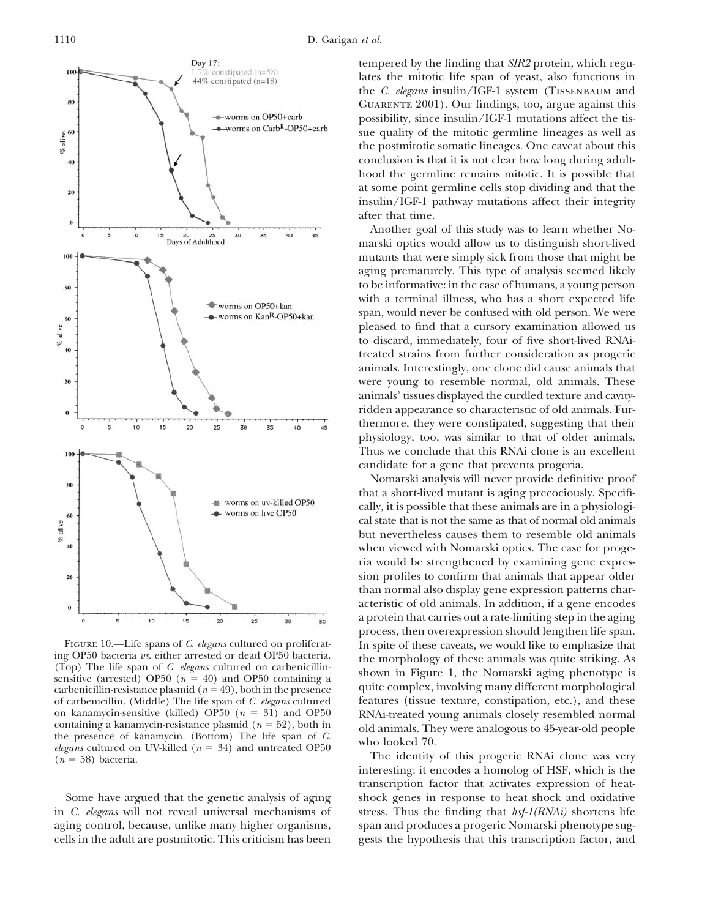

FIGURE 10.—Life spans of *C. elegans* cultured on proliferat-<br>ing OP50 bacteria *us*. either arrested or dead OP50 bacteria.<br>(Top) The life span of *C. elegans* cultured on carbenicillin-<br>sensitive (arrested) OP50 ( $n = 40$ of carbenicillin. (Middle) The life span of *C. elegans* cultured features (tissue texture, constipation, etc.), and these on kanamycin-sensitive (killed) OP50 ( $n = 31$ ) and OP50 RNAi-treated young animals closely resembled normal<br>containing a kanamycin-resistance plasmid ( $n = 52$ ), both in<br>the presence of kanamycin. (Bottom) The life span of

tempered by the finding that *SIR2* protein, which regulates the mitotic life span of yeast, also functions in the *C. elegans* insulin/IGF-1 system (Tissenbaum and Guarente 2001). Our findings, too, argue against this possibility, since insulin/IGF-1 mutations affect the tissue quality of the mitotic germline lineages as well as the postmitotic somatic lineages. One caveat about this conclusion is that it is not clear how long during adulthood the germline remains mitotic. It is possible that at some point germline cells stop dividing and that the insulin/IGF-1 pathway mutations affect their integrity after that time.

Another goal of this study was to learn whether Nomarski optics would allow us to distinguish short-lived mutants that were simply sick from those that might be aging prematurely. This type of analysis seemed likely to be informative: in the case of humans, a young person with a terminal illness, who has a short expected life span, would never be confused with old person. We were pleased to find that a cursory examination allowed us to discard, immediately, four of five short-lived RNAitreated strains from further consideration as progeric animals. Interestingly, one clone did cause animals that were young to resemble normal, old animals. These animals' tissues displayed the curdled texture and cavityridden appearance so characteristic of old animals. Furthermore, they were constipated, suggesting that their physiology, too, was similar to that of older animals. Thus we conclude that this RNAi clone is an excellent candidate for a gene that prevents progeria.

Nomarski analysis will never provide definitive proof that a short-lived mutant is aging precociously. Specifically, it is possible that these animals are in a physiological state that is not the same as that of normal old animals but nevertheless causes them to resemble old animals when viewed with Nomarski optics. The case for progeria would be strengthened by examining gene expression profiles to confirm that animals that appear older than normal also display gene expression patterns characteristic of old animals. In addition, if a gene encodes a protein that carries out a rate-limiting step in the aging process, then overexpression should lengthen life span.

interesting: it encodes a homolog of HSF, which is the transcription factor that activates expression of heat-Some have argued that the genetic analysis of aging shock genes in response to heat shock and oxidative in *C. elegans* will not reveal universal mechanisms of stress. Thus the finding that *hsf-1(RNAi)* shortens life aging control, because, unlike many higher organisms, span and produces a progeric Nomarski phenotype sugcells in the adult are postmitotic. This criticism has been gests the hypothesis that this transcription factor, and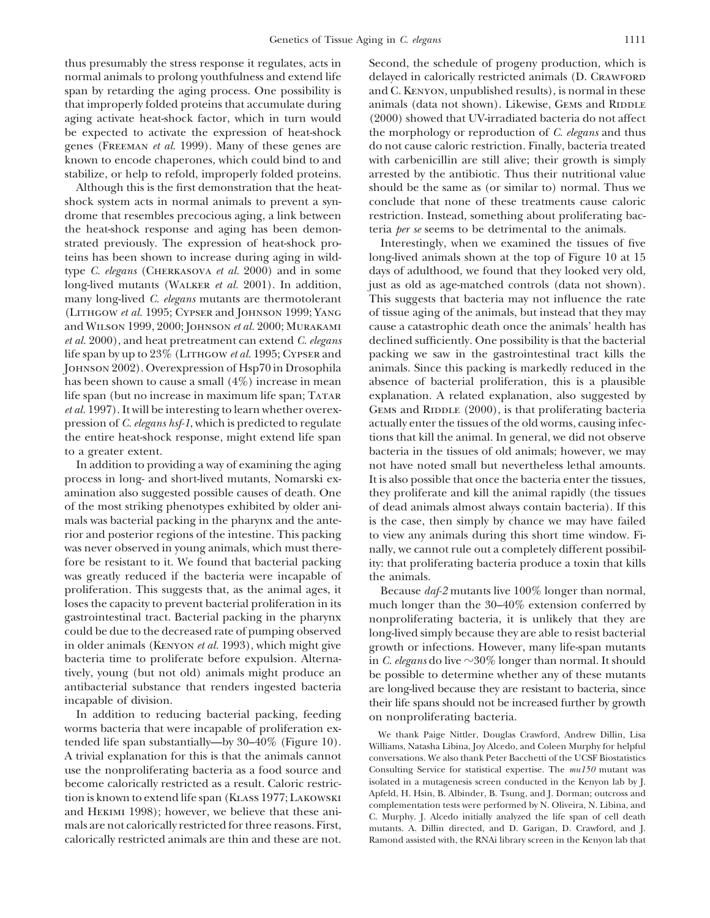thus presumably the stress response it regulates, acts in Second, the schedule of progeny production, which is

the heat-shock response and aging has been demon- teria *per se* seems to be detrimental to the animals.

was greatly reduced if the bacteria were incapable of the animals. proliferation. This suggests that, as the animal ages, it Because *daf-2* mutants live 100% longer than normal, loses the capacity to prevent bacterial proliferation in its much longer than the  $30-40\%$  extension conferred by gastrointestinal tract. Bacterial packing in the pharynx nonproliferating bacteria, it is unlikely that they are could be due to the decreased rate of pumping observed long-lived simply because they are able to resist bacterial in older animals (KENYON *et al.* 1993), which might give growth or infections. However, many life-span mutants bacteria time to proliferate before expulsion. Alterna- in *C. elegans* do live ~30% longer than normal. It should tively, young (but not old) animals might produce an be possible to determine whether any of these mutants antibacterial substance that renders ingested bacteria are long-lived because they are resistant to bacteria, since

In addition to reducing bacterial packing, feeding on nonproliferating bacteria.<br>worms bacteria that were incapable of proliferation exwe thank Paige Nittler, Douglas Crawford, Andrew Dillin, Lisa<br>tended life span substantially—by 30–40% (Figure 10). Williams, Natasha Libina, Joy Alcedo, and Coleen Murphy for helpful A trivial explanation for this is that the animals cannot conversations. We also thank Peter Bacchetti of the UCSF Biostatistics use the nonproliferating bacteria as a food source and Consulting Service for statistical expertise. The *mu150* mutant was become calorically restricted as a result. Caloric restric-<br>  $\frac{1}{2}$  isolated in a mutagenesis screen conducted in the Kenyon lab by J.<br>
Apfeld, H. Hsin, B. Albinder, B. Tsung, and J. Dorman; outcross and tion is known to extend life span (KLASS 1977; LAKOWSKI complementation tests were performed by N. Oliveira, N. Libina, and and HEKIMI 1998); however, we believe that these ani-<br>C. Murphy. J. Alcedo initially analyzed the life span of cell death mals are not calorically restricted for three reasons. First, mutants. A. Dillin directed, and D. Garigan, D. Crawford, and J. calorically restricted animals are thin and these are not. Ramond assisted with, the RNAi library screen in the Kenyon lab that

normal animals to prolong youthfulness and extend life delayed in calorically restricted animals (D. CRAWFORD span by retarding the aging process. One possibility is and C. KENYON, unpublished results), is normal in these that improperly folded proteins that accumulate during animals (data not shown). Likewise, GEMS and RIDDLE aging activate heat-shock factor, which in turn would (2000) showed that UV-irradiated bacteria do not affect be expected to activate the expression of heat-shock the morphology or reproduction of *C. elegans* and thus genes (Freeman *et al.* 1999). Many of these genes are do not cause caloric restriction. Finally, bacteria treated known to encode chaperones, which could bind to and with carbenicillin are still alive; their growth is simply stabilize, or help to refold, improperly folded proteins. arrested by the antibiotic. Thus their nutritional value Although this is the first demonstration that the heat- should be the same as (or similar to) normal. Thus we shock system acts in normal animals to prevent a syn- conclude that none of these treatments cause caloric drome that resembles precocious aging, a link between restriction. Instead, something about proliferating bac-

strated previously. The expression of heat-shock pro- Interestingly, when we examined the tissues of five teins has been shown to increase during aging in wild- long-lived animals shown at the top of Figure 10 at 15 type *C. elegans* (Cherkasova *et al.* 2000) and in some days of adulthood, we found that they looked very old, long-lived mutants (WALKER *et al.* 2001). In addition, just as old as age-matched controls (data not shown). many long-lived *C. elegans* mutants are thermotolerant This suggests that bacteria may not influence the rate (Lithgow *et al.* 1995; Cypser and Johnson 1999; Yang of tissue aging of the animals, but instead that they may and WILSON 1999, 2000; JOHNSON et al. 2000; MURAKAMI cause a catastrophic death once the animals' health has *et al.* 2000), and heat pretreatment can extend *C. elegans* declined sufficiently. One possibility is that the bacterial life span by up to 23% (Lithgow *et al.* 1995; Cypser and packing we saw in the gastrointestinal tract kills the Johnson 2002). Overexpression of Hsp70 in Drosophila animals. Since this packing is markedly reduced in the has been shown to cause a small  $(4\%)$  increase in mean absence of bacterial proliferation, this is a plausible life span (but no increase in maximum life span; Tatar explanation. A related explanation, also suggested by *et al.* 1997). It will be interesting to learn whether overex- GEMS and RIDDLE (2000), is that proliferating bacteria pression of *C. elegans hsf-1*, which is predicted to regulate actually enter the tissues of the old worms, causing infecthe entire heat-shock response, might extend life span tions that kill the animal. In general, we did not observe to a greater extent. bacteria in the tissues of old animals; however, we may In addition to providing a way of examining the aging not have noted small but nevertheless lethal amounts. process in long- and short-lived mutants, Nomarski ex- It is also possible that once the bacteria enter the tissues, amination also suggested possible causes of death. One they proliferate and kill the animal rapidly (the tissues of the most striking phenotypes exhibited by older ani- of dead animals almost always contain bacteria). If this mals was bacterial packing in the pharynx and the ante- is the case, then simply by chance we may have failed rior and posterior regions of the intestine. This packing to view any animals during this short time window. Fiwas never observed in young animals, which must there- nally, we cannot rule out a completely different possibilfore be resistant to it. We found that bacterial packing ity: that proliferating bacteria produce a toxin that kills

their life spans should not be increased further by growth